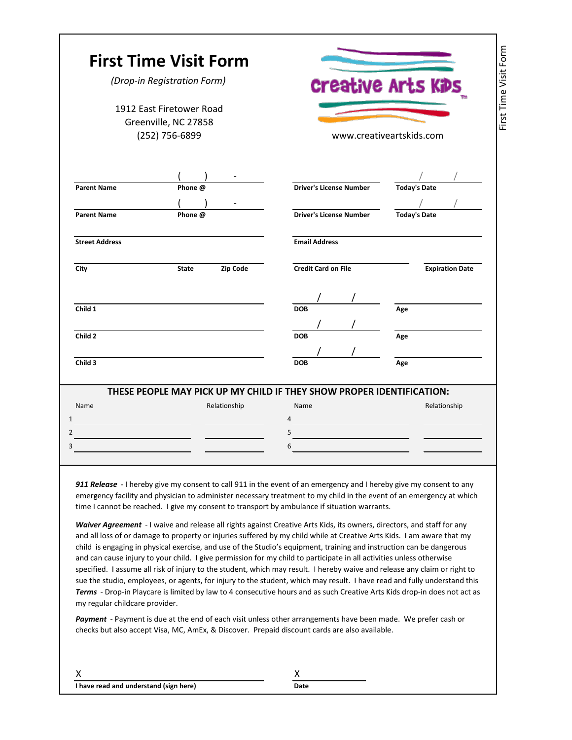|                                                                    | (Drop-in Registration Form)                                                                                                                                                                                                                                                                                                                                                                                                                                                                                                                                                                                                                                                                                                                                                                                                                                                                                                                                                                                                                                                                                                                                                                                                          |                                               | <b>Creative Arts KiDs</b> |  |
|--------------------------------------------------------------------|--------------------------------------------------------------------------------------------------------------------------------------------------------------------------------------------------------------------------------------------------------------------------------------------------------------------------------------------------------------------------------------------------------------------------------------------------------------------------------------------------------------------------------------------------------------------------------------------------------------------------------------------------------------------------------------------------------------------------------------------------------------------------------------------------------------------------------------------------------------------------------------------------------------------------------------------------------------------------------------------------------------------------------------------------------------------------------------------------------------------------------------------------------------------------------------------------------------------------------------|-----------------------------------------------|---------------------------|--|
| 1912 Fast Firetower Road<br>Greenville, NC 27858<br>(252) 756-6899 |                                                                                                                                                                                                                                                                                                                                                                                                                                                                                                                                                                                                                                                                                                                                                                                                                                                                                                                                                                                                                                                                                                                                                                                                                                      | www.creativeartskids.com                      |                           |  |
| <b>Parent Name</b>                                                 | Phone @                                                                                                                                                                                                                                                                                                                                                                                                                                                                                                                                                                                                                                                                                                                                                                                                                                                                                                                                                                                                                                                                                                                                                                                                                              | <b>Driver's License Number</b>                | <b>Today's Date</b>       |  |
| <b>Parent Name</b>                                                 | Phone @                                                                                                                                                                                                                                                                                                                                                                                                                                                                                                                                                                                                                                                                                                                                                                                                                                                                                                                                                                                                                                                                                                                                                                                                                              | <b>Driver's License Number</b>                | <b>Today's Date</b>       |  |
| <b>Street Address</b>                                              |                                                                                                                                                                                                                                                                                                                                                                                                                                                                                                                                                                                                                                                                                                                                                                                                                                                                                                                                                                                                                                                                                                                                                                                                                                      | <b>Email Address</b>                          |                           |  |
| City                                                               | Zip Code<br><b>State</b>                                                                                                                                                                                                                                                                                                                                                                                                                                                                                                                                                                                                                                                                                                                                                                                                                                                                                                                                                                                                                                                                                                                                                                                                             | <b>Credit Card on File</b>                    | <b>Expiration Date</b>    |  |
| Child 1                                                            |                                                                                                                                                                                                                                                                                                                                                                                                                                                                                                                                                                                                                                                                                                                                                                                                                                                                                                                                                                                                                                                                                                                                                                                                                                      | <b>DOB</b>                                    | Age                       |  |
| Child 2                                                            |                                                                                                                                                                                                                                                                                                                                                                                                                                                                                                                                                                                                                                                                                                                                                                                                                                                                                                                                                                                                                                                                                                                                                                                                                                      | <b>DOB</b>                                    | Age                       |  |
| Child 3                                                            |                                                                                                                                                                                                                                                                                                                                                                                                                                                                                                                                                                                                                                                                                                                                                                                                                                                                                                                                                                                                                                                                                                                                                                                                                                      | <b>DOB</b>                                    | Age                       |  |
| Name                                                               | THESE PEOPLE MAY PICK UP MY CHILD IF THEY SHOW PROPER IDENTIFICATION:<br>Relationship                                                                                                                                                                                                                                                                                                                                                                                                                                                                                                                                                                                                                                                                                                                                                                                                                                                                                                                                                                                                                                                                                                                                                | Name                                          | Relationship              |  |
|                                                                    | <u> 1989 - Johann Barn, mars and de Branch Barn, mars and de Branch Barn, mars and de Branch Barn, mars and de Br</u>                                                                                                                                                                                                                                                                                                                                                                                                                                                                                                                                                                                                                                                                                                                                                                                                                                                                                                                                                                                                                                                                                                                | <u> 1980 - Johann Barbara, martin di</u><br>5 |                           |  |
|                                                                    |                                                                                                                                                                                                                                                                                                                                                                                                                                                                                                                                                                                                                                                                                                                                                                                                                                                                                                                                                                                                                                                                                                                                                                                                                                      | 6                                             |                           |  |
|                                                                    |                                                                                                                                                                                                                                                                                                                                                                                                                                                                                                                                                                                                                                                                                                                                                                                                                                                                                                                                                                                                                                                                                                                                                                                                                                      |                                               |                           |  |
|                                                                    | 911 Release - I hereby give my consent to call 911 in the event of an emergency and I hereby give my consent to any<br>emergency facility and physician to administer necessary treatment to my child in the event of an emergency at which<br>time I cannot be reached. I give my consent to transport by ambulance if situation warrants.<br>Waiver Agreement - I waive and release all rights against Creative Arts Kids, its owners, directors, and staff for any<br>and all loss of or damage to property or injuries suffered by my child while at Creative Arts Kids. I am aware that my<br>child is engaging in physical exercise, and use of the Studio's equipment, training and instruction can be dangerous<br>and can cause injury to your child. I give permission for my child to participate in all activities unless otherwise<br>specified. I assume all risk of injury to the student, which may result. I hereby waive and release any claim or right to<br>sue the studio, employees, or agents, for injury to the student, which may result. I have read and fully understand this<br>Terms - Drop-in Playcare is limited by law to 4 consecutive hours and as such Creative Arts Kids drop-in does not act as |                                               |                           |  |
|                                                                    | Payment - Payment is due at the end of each visit unless other arrangements have been made. We prefer cash or<br>checks but also accept Visa, MC, AmEx, & Discover. Prepaid discount cards are also available.                                                                                                                                                                                                                                                                                                                                                                                                                                                                                                                                                                                                                                                                                                                                                                                                                                                                                                                                                                                                                       |                                               |                           |  |
| my regular childcare provider.<br>х                                |                                                                                                                                                                                                                                                                                                                                                                                                                                                                                                                                                                                                                                                                                                                                                                                                                                                                                                                                                                                                                                                                                                                                                                                                                                      | X                                             |                           |  |

٦